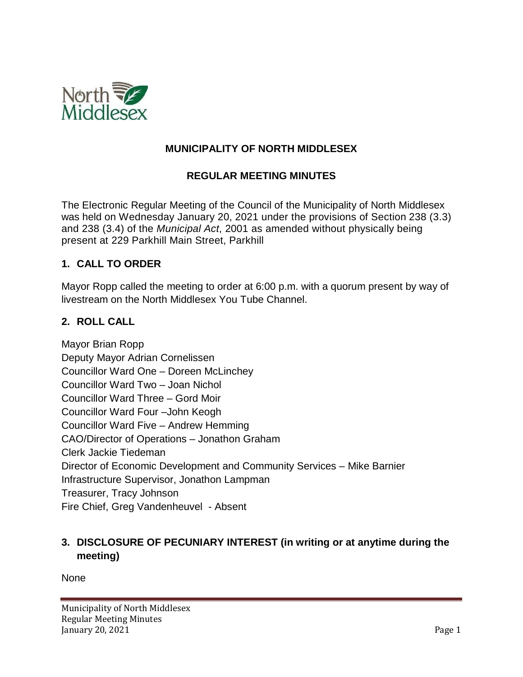

## **MUNICIPALITY OF NORTH MIDDLESEX**

#### **REGULAR MEETING MINUTES**

The Electronic Regular Meeting of the Council of the Municipality of North Middlesex was held on Wednesday January 20, 2021 under the provisions of Section 238 (3.3) and 238 (3.4) of the *Municipal Act*, 2001 as amended without physically being present at 229 Parkhill Main Street, Parkhill

#### **1. CALL TO ORDER**

Mayor Ropp called the meeting to order at 6:00 p.m. with a quorum present by way of livestream on the North Middlesex You Tube Channel.

#### **2. ROLL CALL**

Mayor Brian Ropp Deputy Mayor Adrian Cornelissen Councillor Ward One – Doreen McLinchey Councillor Ward Two – Joan Nichol Councillor Ward Three – Gord Moir Councillor Ward Four –John Keogh Councillor Ward Five – Andrew Hemming CAO/Director of Operations – Jonathon Graham Clerk Jackie Tiedeman Director of Economic Development and Community Services – Mike Barnier Infrastructure Supervisor, Jonathon Lampman Treasurer, Tracy Johnson Fire Chief, Greg Vandenheuvel - Absent

# **3. DISCLOSURE OF PECUNIARY INTEREST (in writing or at anytime during the meeting)**

None

Municipality of North Middlesex Regular Meeting Minutes January 20, 2021 Page 1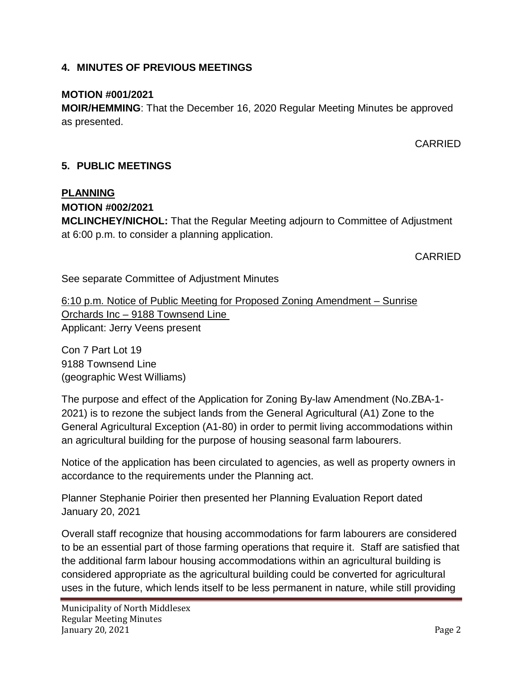## **4. MINUTES OF PREVIOUS MEETINGS**

### **MOTION #001/2021**

**MOIR/HEMMING**: That the December 16, 2020 Regular Meeting Minutes be approved as presented.

CARRIED

# **5. PUBLIC MEETINGS**

#### **PLANNING**

**MOTION #002/2021**

**MCLINCHEY/NICHOL:** That the Regular Meeting adjourn to Committee of Adjustment at 6:00 p.m. to consider a planning application.

CARRIED

See separate Committee of Adjustment Minutes

6:10 p.m. Notice of Public Meeting for Proposed Zoning Amendment – Sunrise Orchards Inc – 9188 Townsend Line Applicant: Jerry Veens present

Con 7 Part Lot 19 9188 Townsend Line (geographic West Williams)

The purpose and effect of the Application for Zoning By-law Amendment (No.ZBA-1- 2021) is to rezone the subject lands from the General Agricultural (A1) Zone to the General Agricultural Exception (A1-80) in order to permit living accommodations within an agricultural building for the purpose of housing seasonal farm labourers.

Notice of the application has been circulated to agencies, as well as property owners in accordance to the requirements under the Planning act.

Planner Stephanie Poirier then presented her Planning Evaluation Report dated January 20, 2021

Overall staff recognize that housing accommodations for farm labourers are considered to be an essential part of those farming operations that require it. Staff are satisfied that the additional farm labour housing accommodations within an agricultural building is considered appropriate as the agricultural building could be converted for agricultural uses in the future, which lends itself to be less permanent in nature, while still providing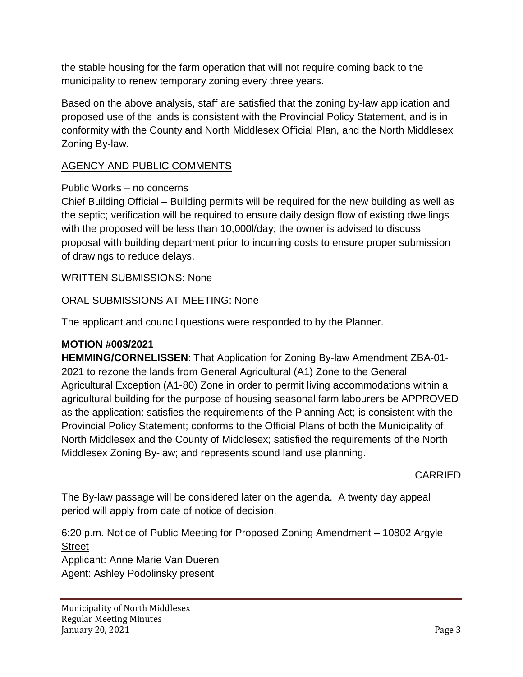the stable housing for the farm operation that will not require coming back to the municipality to renew temporary zoning every three years.

Based on the above analysis, staff are satisfied that the zoning by-law application and proposed use of the lands is consistent with the Provincial Policy Statement, and is in conformity with the County and North Middlesex Official Plan, and the North Middlesex Zoning By-law.

## AGENCY AND PUBLIC COMMENTS

#### Public Works – no concerns

Chief Building Official – Building permits will be required for the new building as well as the septic; verification will be required to ensure daily design flow of existing dwellings with the proposed will be less than 10,000l/day; the owner is advised to discuss proposal with building department prior to incurring costs to ensure proper submission of drawings to reduce delays.

WRITTEN SUBMISSIONS: None

ORAL SUBMISSIONS AT MEETING: None

The applicant and council questions were responded to by the Planner.

#### **MOTION #003/2021**

**HEMMING/CORNELISSEN**: That Application for Zoning By-law Amendment ZBA-01- 2021 to rezone the lands from General Agricultural (A1) Zone to the General Agricultural Exception (A1-80) Zone in order to permit living accommodations within a agricultural building for the purpose of housing seasonal farm labourers be APPROVED as the application: satisfies the requirements of the Planning Act; is consistent with the Provincial Policy Statement; conforms to the Official Plans of both the Municipality of North Middlesex and the County of Middlesex; satisfied the requirements of the North Middlesex Zoning By-law; and represents sound land use planning.

CARRIED

The By-law passage will be considered later on the agenda. A twenty day appeal period will apply from date of notice of decision.

#### 6:20 p.m. Notice of Public Meeting for Proposed Zoning Amendment – 10802 Argyle **Street** Applicant: Anne Marie Van Dueren Agent: Ashley Podolinsky present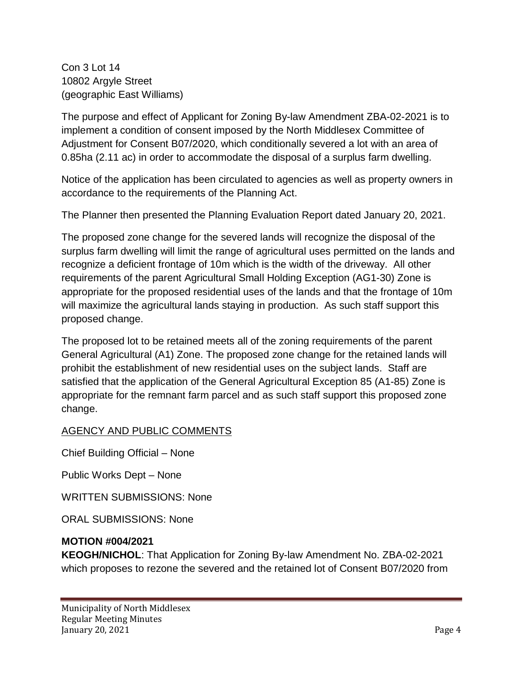Con 3 Lot 14 10802 Argyle Street (geographic East Williams)

The purpose and effect of Applicant for Zoning By-law Amendment ZBA-02-2021 is to implement a condition of consent imposed by the North Middlesex Committee of Adjustment for Consent B07/2020, which conditionally severed a lot with an area of 0.85ha (2.11 ac) in order to accommodate the disposal of a surplus farm dwelling.

Notice of the application has been circulated to agencies as well as property owners in accordance to the requirements of the Planning Act.

The Planner then presented the Planning Evaluation Report dated January 20, 2021.

The proposed zone change for the severed lands will recognize the disposal of the surplus farm dwelling will limit the range of agricultural uses permitted on the lands and recognize a deficient frontage of 10m which is the width of the driveway. All other requirements of the parent Agricultural Small Holding Exception (AG1-30) Zone is appropriate for the proposed residential uses of the lands and that the frontage of 10m will maximize the agricultural lands staying in production. As such staff support this proposed change.

The proposed lot to be retained meets all of the zoning requirements of the parent General Agricultural (A1) Zone. The proposed zone change for the retained lands will prohibit the establishment of new residential uses on the subject lands. Staff are satisfied that the application of the General Agricultural Exception 85 (A1-85) Zone is appropriate for the remnant farm parcel and as such staff support this proposed zone change.

AGENCY AND PUBLIC COMMENTS

Chief Building Official – None

Public Works Dept – None

WRITTEN SUBMISSIONS: None

ORAL SUBMISSIONS: None

# **MOTION #004/2021**

**KEOGH/NICHOL**: That Application for Zoning By-law Amendment No. ZBA-02-2021 which proposes to rezone the severed and the retained lot of Consent B07/2020 from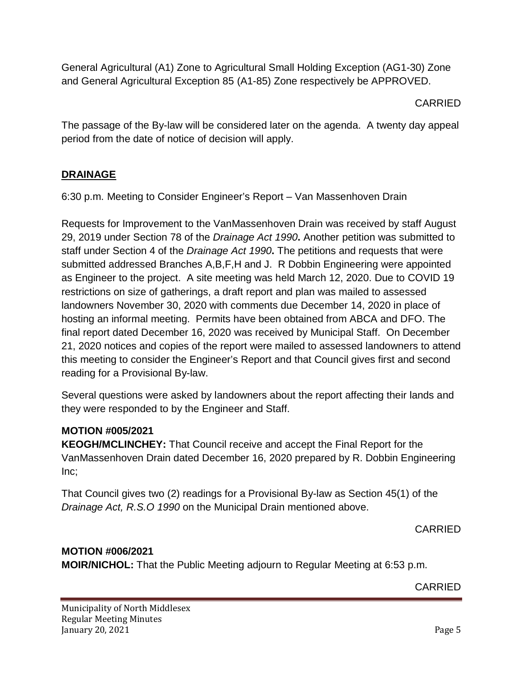General Agricultural (A1) Zone to Agricultural Small Holding Exception (AG1-30) Zone and General Agricultural Exception 85 (A1-85) Zone respectively be APPROVED.

## CARRIED

The passage of the By-law will be considered later on the agenda. A twenty day appeal period from the date of notice of decision will apply.

# **DRAINAGE**

6:30 p.m. Meeting to Consider Engineer's Report – Van Massenhoven Drain

Requests for Improvement to the VanMassenhoven Drain was received by staff August 29, 2019 under Section 78 of the *Drainage Act 1990***.** Another petition was submitted to staff under Section 4 of the *Drainage Act 1990***.** The petitions and requests that were submitted addressed Branches A,B,F,H and J. R Dobbin Engineering were appointed as Engineer to the project. A site meeting was held March 12, 2020. Due to COVID 19 restrictions on size of gatherings, a draft report and plan was mailed to assessed landowners November 30, 2020 with comments due December 14, 2020 in place of hosting an informal meeting. Permits have been obtained from ABCA and DFO. The final report dated December 16, 2020 was received by Municipal Staff. On December 21, 2020 notices and copies of the report were mailed to assessed landowners to attend this meeting to consider the Engineer's Report and that Council gives first and second reading for a Provisional By-law.

Several questions were asked by landowners about the report affecting their lands and they were responded to by the Engineer and Staff.

# **MOTION #005/2021**

**KEOGH/MCLINCHEY:** That Council receive and accept the Final Report for the VanMassenhoven Drain dated December 16, 2020 prepared by R. Dobbin Engineering Inc;

That Council gives two (2) readings for a Provisional By-law as Section 45(1) of the *Drainage Act, R.S.O 1990* on the Municipal Drain mentioned above.

CARRIED

# **MOTION #006/2021**

**MOIR/NICHOL:** That the Public Meeting adjourn to Regular Meeting at 6:53 p.m.

CARRIED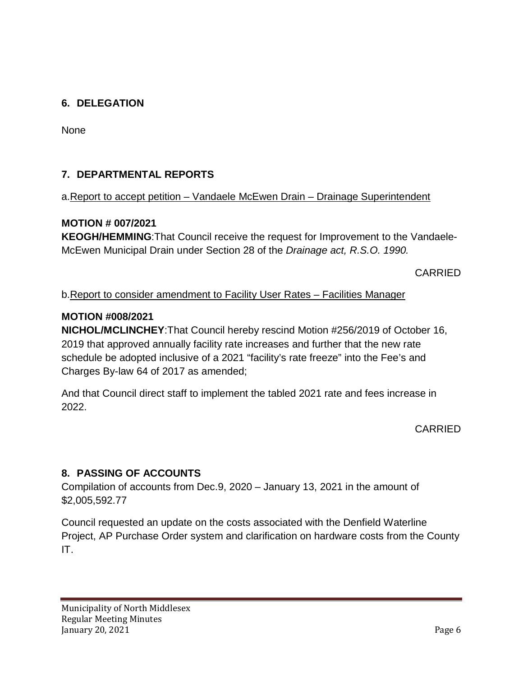# **6. DELEGATION**

None

# **7. DEPARTMENTAL REPORTS**

#### a.Report to accept petition – Vandaele McEwen Drain – Drainage Superintendent

#### **MOTION # 007/2021**

**KEOGH/HEMMING**:That Council receive the request for Improvement to the Vandaele-McEwen Municipal Drain under Section 28 of the *Drainage act, R.S.O. 1990.*

CARRIED

#### b.Report to consider amendment to Facility User Rates – Facilities Manager

#### **MOTION #008/2021**

**NICHOL/MCLINCHEY**:That Council hereby rescind Motion #256/2019 of October 16, 2019 that approved annually facility rate increases and further that the new rate schedule be adopted inclusive of a 2021 "facility's rate freeze" into the Fee's and Charges By-law 64 of 2017 as amended;

And that Council direct staff to implement the tabled 2021 rate and fees increase in 2022.

CARRIED

# **8. PASSING OF ACCOUNTS**

Compilation of accounts from Dec.9, 2020 – January 13, 2021 in the amount of \$2,005,592.77

Council requested an update on the costs associated with the Denfield Waterline Project, AP Purchase Order system and clarification on hardware costs from the County IT.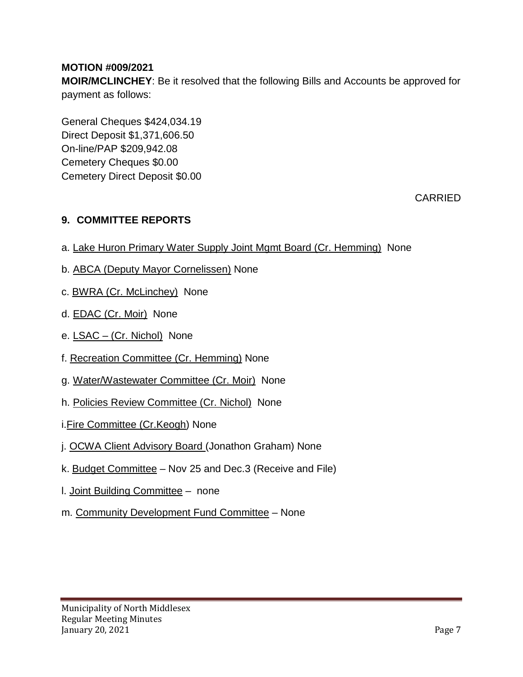## **MOTION #009/2021**

**MOIR/MCLINCHEY**: Be it resolved that the following Bills and Accounts be approved for payment as follows:

General Cheques \$424,034.19 Direct Deposit \$1,371,606.50 On-line/PAP \$209,942.08 Cemetery Cheques \$0.00 Cemetery Direct Deposit \$0.00

CARRIED

## **9. COMMITTEE REPORTS**

- a. Lake Huron Primary Water Supply Joint Mgmt Board (Cr. Hemming) None
- b. ABCA (Deputy Mayor Cornelissen) None
- c. BWRA (Cr. McLinchey) None
- d. EDAC (Cr. Moir) None
- e. LSAC (Cr. Nichol) None
- f. Recreation Committee (Cr. Hemming) None
- g. Water/Wastewater Committee (Cr. Moir) None
- h. Policies Review Committee (Cr. Nichol) None
- i.Fire Committee (Cr.Keogh) None
- j. OCWA Client Advisory Board (Jonathon Graham) None
- k. Budget Committee Nov 25 and Dec.3 (Receive and File)
- l. Joint Building Committee none
- m. Community Development Fund Committee None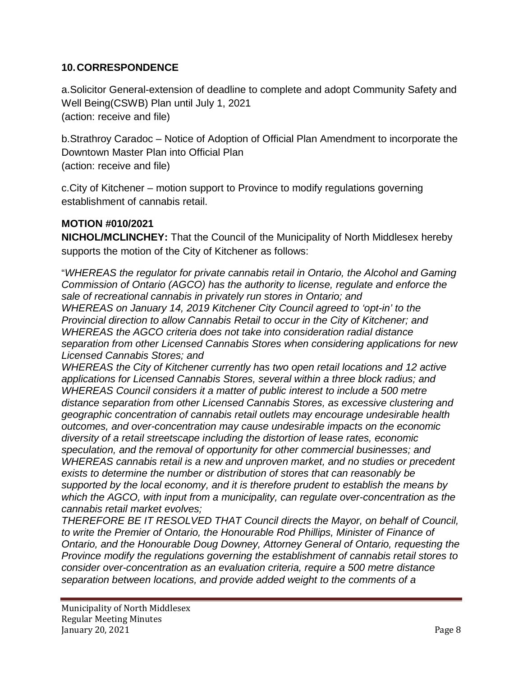### **10.CORRESPONDENCE**

a.Solicitor General-extension of deadline to complete and adopt Community Safety and Well Being(CSWB) Plan until July 1, 2021 (action: receive and file)

b.Strathroy Caradoc – Notice of Adoption of Official Plan Amendment to incorporate the Downtown Master Plan into Official Plan (action: receive and file)

c.City of Kitchener – motion support to Province to modify regulations governing establishment of cannabis retail.

## **MOTION #010/2021**

**NICHOL/MCLINCHEY:** That the Council of the Municipality of North Middlesex hereby supports the motion of the City of Kitchener as follows:

"*WHEREAS the regulator for private cannabis retail in Ontario, the Alcohol and Gaming Commission of Ontario (AGCO) has the authority to license, regulate and enforce the sale of recreational cannabis in privately run stores in Ontario; and* 

*WHEREAS on January 14, 2019 Kitchener City Council agreed to 'opt-in' to the Provincial direction to allow Cannabis Retail to occur in the City of Kitchener; and WHEREAS the AGCO criteria does not take into consideration radial distance separation from other Licensed Cannabis Stores when considering applications for new Licensed Cannabis Stores; and* 

*WHEREAS the City of Kitchener currently has two open retail locations and 12 active applications for Licensed Cannabis Stores, several within a three block radius; and WHEREAS Council considers it a matter of public interest to include a 500 metre distance separation from other Licensed Cannabis Stores, as excessive clustering and geographic concentration of cannabis retail outlets may encourage undesirable health outcomes, and over-concentration may cause undesirable impacts on the economic diversity of a retail streetscape including the distortion of lease rates, economic speculation, and the removal of opportunity for other commercial businesses; and WHEREAS cannabis retail is a new and unproven market, and no studies or precedent exists to determine the number or distribution of stores that can reasonably be supported by the local economy, and it is therefore prudent to establish the means by which the AGCO, with input from a municipality, can regulate over-concentration as the cannabis retail market evolves;* 

*THEREFORE BE IT RESOLVED THAT Council directs the Mayor, on behalf of Council, to write the Premier of Ontario, the Honourable Rod Phillips, Minister of Finance of Ontario, and the Honourable Doug Downey, Attorney General of Ontario, requesting the Province modify the regulations governing the establishment of cannabis retail stores to consider over-concentration as an evaluation criteria, require a 500 metre distance separation between locations, and provide added weight to the comments of a*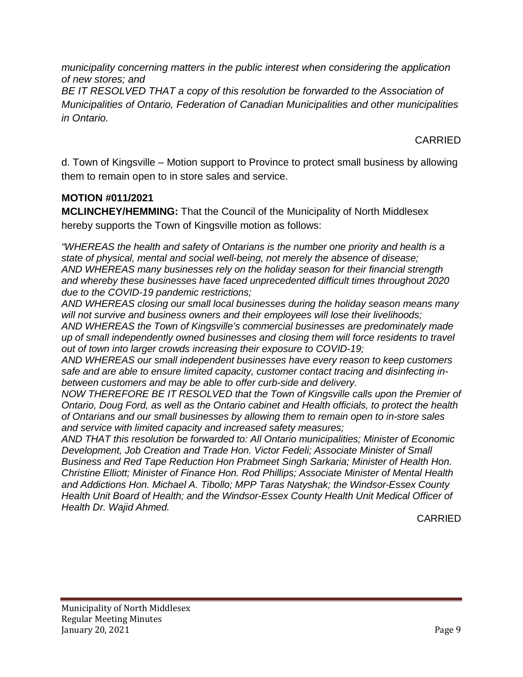*municipality concerning matters in the public interest when considering the application of new stores; and* 

*BE IT RESOLVED THAT a copy of this resolution be forwarded to the Association of Municipalities of Ontario, Federation of Canadian Municipalities and other municipalities in Ontario.*

CARRIED

d. Town of Kingsville – Motion support to Province to protect small business by allowing them to remain open to in store sales and service.

# **MOTION #011/2021**

**MCLINCHEY/HEMMING:** That the Council of the Municipality of North Middlesex hereby supports the Town of Kingsville motion as follows:

*"WHEREAS the health and safety of Ontarians is the number one priority and health is a state of physical, mental and social well-being, not merely the absence of disease; AND WHEREAS many businesses rely on the holiday season for their financial strength and whereby these businesses have faced unprecedented difficult times throughout 2020 due to the COVID-19 pandemic restrictions;* 

*AND WHEREAS closing our small local businesses during the holiday season means many will not survive and business owners and their employees will lose their livelihoods; AND WHEREAS the Town of Kingsville's commercial businesses are predominately made up of small independently owned businesses and closing them will force residents to travel out of town into larger crowds increasing their exposure to COVID-19;* 

*AND WHEREAS our small independent businesses have every reason to keep customers safe and are able to ensure limited capacity, customer contact tracing and disinfecting inbetween customers and may be able to offer curb-side and delivery.* 

*NOW THEREFORE BE IT RESOLVED that the Town of Kingsville calls upon the Premier of Ontario, Doug Ford, as well as the Ontario cabinet and Health officials, to protect the health of Ontarians and our small businesses by allowing them to remain open to in-store sales and service with limited capacity and increased safety measures;* 

*AND THAT this resolution be forwarded to: All Ontario municipalities; Minister of Economic Development, Job Creation and Trade Hon. Victor Fedeli; Associate Minister of Small Business and Red Tape Reduction Hon Prabmeet Singh Sarkaria; Minister of Health Hon. Christine Elliott; Minister of Finance Hon. Rod Phillips; Associate Minister of Mental Health and Addictions Hon. Michael A. Tibollo; MPP Taras Natyshak; the Windsor-Essex County Health Unit Board of Health; and the Windsor-Essex County Health Unit Medical Officer of Health Dr. Wajid Ahmed.* 

CARRIED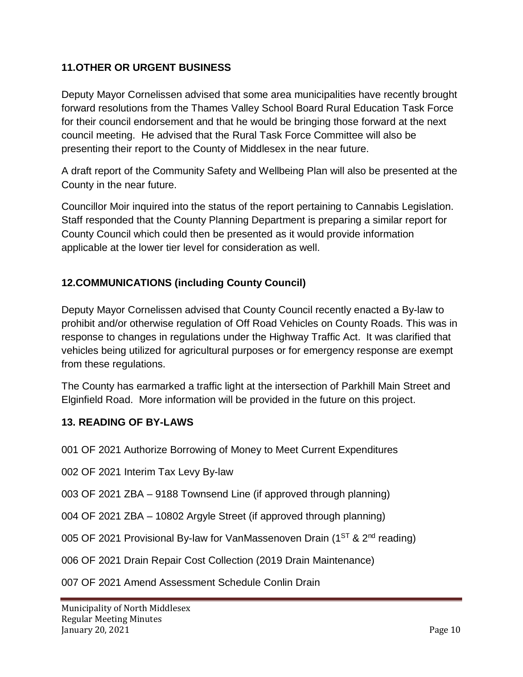## **11.OTHER OR URGENT BUSINESS**

Deputy Mayor Cornelissen advised that some area municipalities have recently brought forward resolutions from the Thames Valley School Board Rural Education Task Force for their council endorsement and that he would be bringing those forward at the next council meeting. He advised that the Rural Task Force Committee will also be presenting their report to the County of Middlesex in the near future.

A draft report of the Community Safety and Wellbeing Plan will also be presented at the County in the near future.

Councillor Moir inquired into the status of the report pertaining to Cannabis Legislation. Staff responded that the County Planning Department is preparing a similar report for County Council which could then be presented as it would provide information applicable at the lower tier level for consideration as well.

# **12.COMMUNICATIONS (including County Council)**

Deputy Mayor Cornelissen advised that County Council recently enacted a By-law to prohibit and/or otherwise regulation of Off Road Vehicles on County Roads. This was in response to changes in regulations under the Highway Traffic Act. It was clarified that vehicles being utilized for agricultural purposes or for emergency response are exempt from these regulations.

The County has earmarked a traffic light at the intersection of Parkhill Main Street and Elginfield Road. More information will be provided in the future on this project.

#### **13. READING OF BY-LAWS**

001 OF 2021 Authorize Borrowing of Money to Meet Current Expenditures

002 OF 2021 Interim Tax Levy By-law

003 OF 2021 ZBA – 9188 Townsend Line (if approved through planning)

004 OF 2021 ZBA – 10802 Argyle Street (if approved through planning)

005 OF 2021 Provisional By-law for VanMassenoven Drain ( $1^{ST}$  &  $2^{nd}$  reading)

006 OF 2021 Drain Repair Cost Collection (2019 Drain Maintenance)

007 OF 2021 Amend Assessment Schedule Conlin Drain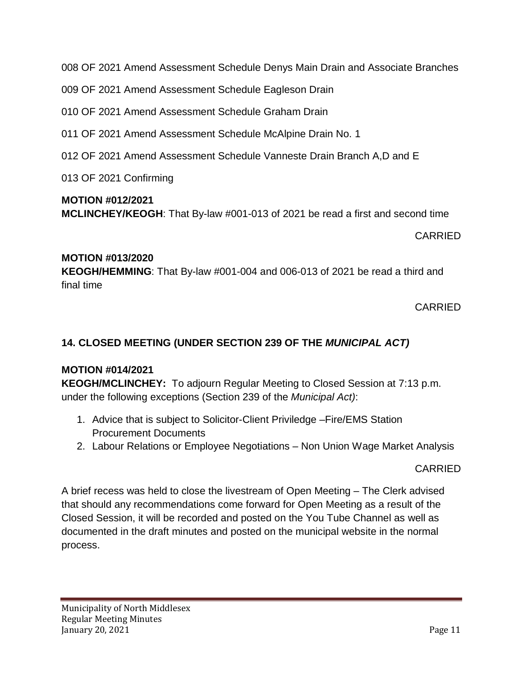008 OF 2021 Amend Assessment Schedule Denys Main Drain and Associate Branches

009 OF 2021 Amend Assessment Schedule Eagleson Drain

010 OF 2021 Amend Assessment Schedule Graham Drain

011 OF 2021 Amend Assessment Schedule McAlpine Drain No. 1

012 OF 2021 Amend Assessment Schedule Vanneste Drain Branch A,D and E

013 OF 2021 Confirming

#### **MOTION #012/2021**

**MCLINCHEY/KEOGH**: That By-law #001-013 of 2021 be read a first and second time

CARRIED

#### **MOTION #013/2020**

**KEOGH/HEMMING**: That By-law #001-004 and 006-013 of 2021 be read a third and final time

CARRIED

# **14. CLOSED MEETING (UNDER SECTION 239 OF THE** *MUNICIPAL ACT)*

#### **MOTION #014/2021**

**KEOGH/MCLINCHEY:** To adjourn Regular Meeting to Closed Session at 7:13 p.m. under the following exceptions (Section 239 of the *Municipal Act)*:

- 1. Advice that is subject to Solicitor-Client Priviledge –Fire/EMS Station Procurement Documents
- 2. Labour Relations or Employee Negotiations Non Union Wage Market Analysis

CARRIED

A brief recess was held to close the livestream of Open Meeting – The Clerk advised that should any recommendations come forward for Open Meeting as a result of the Closed Session, it will be recorded and posted on the You Tube Channel as well as documented in the draft minutes and posted on the municipal website in the normal process.